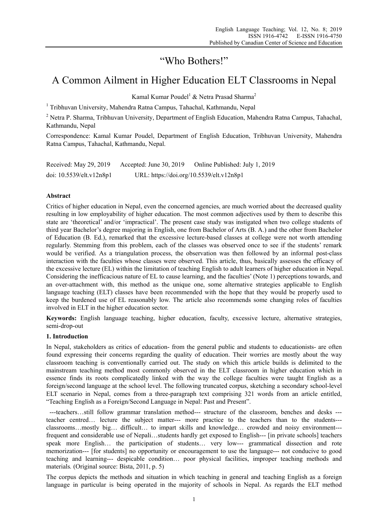# "Who Bothers!"

# A Common Ailment in Higher Education ELT Classrooms in Nepal

Kamal Kumar Poudel $^1$  & Netra Prasad Sharma $^2$ 

<sup>1</sup> Tribhuvan University, Mahendra Ratna Campus, Tahachal, Kathmandu, Nepal

 $2$  Netra P. Sharma, Tribhuvan University, Department of English Education, Mahendra Ratna Campus, Tahachal, Kathmandu, Nepal

Correspondence: Kamal Kumar Poudel, Department of English Education, Tribhuvan University, Mahendra Ratna Campus, Tahachal, Kathmandu, Nepal.

| Received: May 29, 2019   | Accepted: June 30, 2019                  | Online Published: July 1, 2019 |
|--------------------------|------------------------------------------|--------------------------------|
| doi: 10.5539/elt.v12n8p1 | URL: https://doi.org/10.5539/elt.v12n8p1 |                                |

## **Abstract**

Critics of higher education in Nepal, even the concerned agencies, are much worried about the decreased quality resulting in low employability of higher education. The most common adjectives used by them to describe this state are 'theoretical' and/or 'impractical'. The present case study was instigated when two college students of third year Bachelor's degree majoring in English, one from Bachelor of Arts (B. A.) and the other from Bachelor of Education (B. Ed.), remarked that the excessive lecture-based classes at college were not worth attending regularly. Stemming from this problem, each of the classes was observed once to see if the students' remark would be verified. As a triangulation process, the observation was then followed by an informal post-class interaction with the faculties whose classes were observed. This article, thus, basically assesses the efficacy of the excessive lecture (EL) within the limitation of teaching English to adult learners of higher education in Nepal. Considering the inefficacious nature of EL to cause learning, and the faculties' (Note 1) perceptions towards, and an over-attachment with, this method as the unique one, some alternative strategies applicable to English language teaching (ELT) classes have been recommended with the hope that they would be properly used to keep the burdened use of EL reasonably low. The article also recommends some changing roles of faculties involved in ELT in the higher education sector.

**Keywords:** English language teaching, higher education, faculty, excessive lecture, alternative strategies, semi-drop-out

## **1. Introduction**

In Nepal, stakeholders as critics of education- from the general public and students to educationists- are often found expressing their concerns regarding the quality of education. Their worries are mostly about the way classroom teaching is conventionally carried out. The study on which this article builds is delimited to the mainstream teaching method most commonly observed in the ELT classroom in higher education which in essence finds its roots complicatedly linked with the way the college faculties were taught English as a foreign/second language at the school level. The following truncated corpus, sketching a secondary school-level ELT scenario in Nepal, comes from a three-paragraph text comprising 321 words from an article entitled, "Teaching English as a Foreign/Second Language in Nepal: Past and Present".

 ---teachers…still follow grammar translation method--- structure of the classroom, benches and desks -- teacher centred… lecture the subject matter--- more practice to the teachers than to the students-- classrooms…mostly big… difficult… to impart skills and knowledge… crowded and noisy environment-- frequent and considerable use of Nepali…students hardly get exposed to English--- [in private schools] teachers speak more English… the participation of students… very low--- grammatical dissection and rote memorization--- [for students] no opportunity or encouragement to use the language--- not conducive to good teaching and learning--- despicable condition… poor physical facilities, improper teaching methods and materials*.* (Original source: Bista, 2011, p. 5)

The corpus depicts the methods and situation in which teaching in general and teaching English as a foreign language in particular is being operated in the majority of schools in Nepal. As regards the ELT method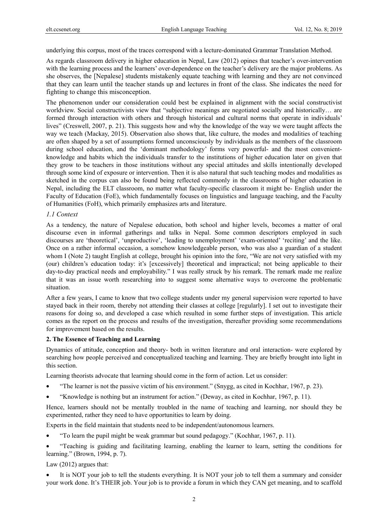underlying this corpus, most of the traces correspond with a lecture-dominated Grammar Translation Method.

As regards classroom delivery in higher education in Nepal, Law (2012) opines that teacher's over-intervention with the learning process and the learners' over-dependence on the teacher's delivery are the major problems. As she observes, the [Nepalese] students mistakenly equate teaching with learning and they are not convinced that they can learn until the teacher stands up and lectures in front of the class. She indicates the need for fighting to change this misconception.

The phenomenon under our consideration could best be explained in alignment with the social constructivist worldview. Social constructivists view that "subjective meanings are negotiated socially and historically… are formed through interaction with others and through historical and cultural norms that operate in individuals' lives" (Creswell, 2007, p. 21). This suggests how and why the knowledge of the way we were taught affects the way we teach (Mackay, 2015). Observation also shows that, like culture, the modes and modalities of teaching are often shaped by a set of assumptions formed unconsciously by individuals as the members of the classroom during school education, and the 'dominant methodology' forms very powerful- and the most convenientknowledge and habits which the individuals transfer to the institutions of higher education later on given that they grow to be teachers in those institutions without any special attitudes and skills intentionally developed through some kind of exposure or intervention. Then it is also natural that such teaching modes and modalities as sketched in the corpus can also be found being reflected commonly in the classrooms of higher education in Nepal, including the ELT classroom, no matter what faculty-specific classroom it might be- English under the Faculty of Education (FoE), which fundamentally focuses on linguistics and language teaching, and the Faculty of Humanities (FoH), which primarily emphasizes arts and literature.

## *1.1 Context*

As a tendency, the nature of Nepalese education, both school and higher levels, becomes a matter of oral discourse even in informal gatherings and talks in Nepal. Some common descriptors employed in such discourses are 'theoretical', 'unproductive', 'leading to unemployment' 'exam-oriented' 'reciting' and the like. Once on a rather informal occasion, a somehow knowledgeable person, who was also a guardian of a student whom I (Note 2) taught English at college, brought his opinion into the fore, "We are not very satisfied with my (our) children's education today: it's [excessively] theoretical and impractical; not being applicable to their day-to-day practical needs and employability." I was really struck by his remark. The remark made me realize that it was an issue worth researching into to suggest some alternative ways to overcome the problematic situation.

After a few years, I came to know that two college students under my general supervision were reported to have stayed back in their room, thereby not attending their classes at college [regularly]. I set out to investigate their reasons for doing so, and developed a case which resulted in some further steps of investigation. This article comes as the report on the process and results of the investigation, thereafter providing some recommendations for improvement based on the results.

## **2. The Essence of Teaching and Learning**

Dynamics of attitude, conception and theory- both in written literature and oral interaction- were explored by searching how people perceived and conceptualized teaching and learning. They are briefly brought into light in this section.

Learning theorists advocate that learning should come in the form of action. Let us consider:

- "The learner is not the passive victim of his environment." (Snygg, as cited in Kochhar, 1967, p. 23).
- "Knowledge is nothing but an instrument for action." (Deway, as cited in Kochhar, 1967, p. 11).

Hence, learners should not be mentally troubled in the name of teaching and learning, nor should they be experimented, rather they need to have opportunities to learn by doing.

Experts in the field maintain that students need to be independent/autonomous learners.

- "To learn the pupil might be weak grammar but sound pedagogy." (Kochhar, 1967, p. 11).
- "Teaching is guiding and facilitating learning, enabling the learner to learn, setting the conditions for learning." (Brown, 1994, p. 7).

Law (2012) argues that:

It is NOT your job to tell the students everything. It is NOT your job to tell them a summary and consider your work done. It's THEIR job. Your job is to provide a forum in which they CAN get meaning, and to scaffold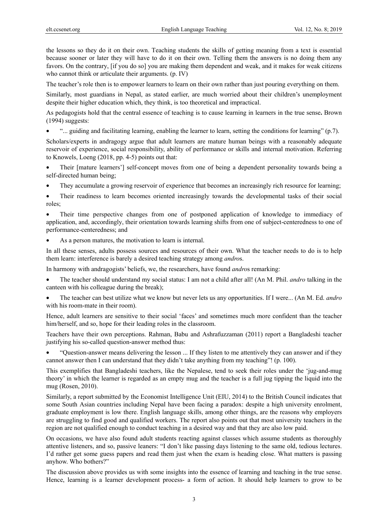the lessons so they do it on their own. Teaching students the skills of getting meaning from a text is essential because sooner or later they will have to do it on their own. Telling them the answers is no doing them any favors. On the contrary, [if you do so] you are making them dependent and weak, and it makes for weak citizens who cannot think or articulate their arguments. (p. IV)

The teacher's role then is to empower learners to learn on their own rather than just pouring everything on them.

Similarly, most guardians in Nepal, as stated earlier, are much worried about their children's unemployment despite their higher education which, they think, is too theoretical and impractical.

As pedagogists hold that the central essence of teaching is to cause learning in learners in the true sense**.** Brown (1994) suggests:

• "... guiding and facilitating learning, enabling the learner to learn, setting the conditions for learning" (p.7).

Scholars/experts in andragogy argue that adult learners are mature human beings with a reasonably adequate reservoir of experience, social responsibility, ability of performance or skills and internal motivation. Referring to Knowels, Loeng (2018, pp. 4-5) points out that:

- Their [mature learners'] self-concept moves from one of being a dependent personality towards being a self-directed human being;
- They accumulate a growing reservoir of experience that becomes an increasingly rich resource for learning;
- Their readiness to learn becomes oriented increasingly towards the developmental tasks of their social roles;

• Their time perspective changes from one of postponed application of knowledge to immediacy of application, and, accordingly, their orientation towards learning shifts from one of subject-centeredness to one of performance-centeredness; and

As a person matures, the motivation to learn is internal.

In all these senses, adults possess sources and resources of their own. What the teacher needs to do is to help them learn: interference is barely a desired teaching strategy among *andro*s.

In harmony with andragogists' beliefs, we, the researchers, have found *andro*s remarking:

- The teacher should understand my social status: I am not a child after all! (An M. Phil. *andro* talking in the canteen with his colleague during the break);
- The teacher can best utilize what we know but never lets us any opportunities. If I were... (An M. Ed. *andro* with his room-mate in their room).

Hence, adult learners are sensitive to their social 'faces' and sometimes much more confident than the teacher him/herself, and so, hope for their leading roles in the classroom.

Teachers have their own perceptions. Rahman, Babu and Ashrafuzzaman (2011) report a Bangladeshi teacher justifying his so-called question-answer method thus:

• "Question-answer means delivering the lesson ... If they listen to me attentively they can answer and if they cannot answer then I can understand that they didn't take anything from my teaching"! (p. 100).

This exemplifies that Bangladeshi teachers, like the Nepalese, tend to seek their roles under the 'jug-and-mug theory' in which the learner is regarded as an empty mug and the teacher is a full jug tipping the liquid into the mug (Rosen, 2010).

Similarly, a report submitted by the Economist Intelligence Unit (EIU, 2014) to the British Council indicates that some South Asian countries including Nepal have been facing a paradox: despite a high university enrolment, graduate employment is low there. English language skills, among other things, are the reasons why employers are struggling to find good and qualified workers. The report also points out that most university teachers in the region are not qualified enough to conduct teaching in a desired way and that they are also low paid.

On occasions, we have also found adult students reacting against classes which assume students as thoroughly attentive listeners, and so, passive leaners: "I don't like passing days listening to the same old, tedious lectures. I'd rather get some guess papers and read them just when the exam is heading close. What matters is passing anyhow. Who bothers?"

The discussion above provides us with some insights into the essence of learning and teaching in the true sense. Hence, learning is a learner development process- a form of action. It should help learners to grow to be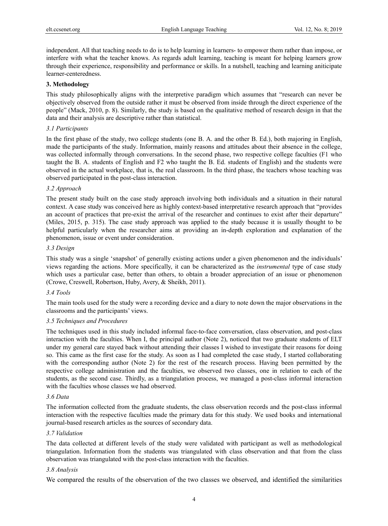independent. All that teaching needs to do is to help learning in learners- to empower them rather than impose, or interfere with what the teacher knows. As regards adult learning, teaching is meant for helping learners grow through their experience, responsibility and performance or skills. In a nutshell, teaching and learning aniticipate learner-centeredness.

## **3. Methodology**

This study philosophically aligns with the interpretive paradigm which assumes that "research can never be objectively observed from the outside rather it must be observed from inside through the direct experience of the people" (Mack, 2010, p. 8). Similarly, the study is based on the qualitative method of research design in that the data and their analysis are descriptive rather than statistical.

### *3.1 Participants*

In the first phase of the study, two college students (one B. A. and the other B. Ed.), both majoring in English, made the participants of the study. Information, mainly reasons and attitudes about their absence in the college, was collected informally through conversations. In the second phase, two respective college faculties (F1 who taught the B. A. students of English and F2 who taught the B. Ed. students of English) and the students were observed in the actual workplace, that is, the real classroom. In the third phase, the teachers whose teaching was observed participated in the post-class interaction.

## *3.2 Approach*

The present study built on the case study approach involving both individuals and a situation in their natural context. A case study was conceived here as highly context-based interpretative research approach that "provides an account of practices that pre-exist the arrival of the researcher and continues to exist after their departure" (Miles, 2015, p. 315). The case study approach was applied to the study because it is usually thought to be helpful particularly when the researcher aims at providing an in-depth exploration and explanation of the phenomenon, issue or event under consideration.

## *3.3 Design*

This study was a single 'snapshot' of generally existing actions under a given phenomenon and the individuals' views regarding the actions. More specifically, it can be characterized as the *instrumental* type of case study which uses a particular case, better than others, to obtain a broader appreciation of an issue or phenomenon (Crowe, Creswell, Robertson, Huby, Avery, & Sheikh, 2011).

## *3.4 Tools*

The main tools used for the study were a recording device and a diary to note down the major observations in the classrooms and the participants' views.

#### *3.5 Techniques and Procedures*

The techniques used in this study included informal face-to-face conversation, class observation, and post-class interaction with the faculties. When I, the principal author (Note 2), noticed that two graduate students of ELT under my general care stayed back without attending their classes I wished to investigate their reasons for doing so. This came as the first case for the study. As soon as I had completed the case study, I started collaborating with the corresponding author (Note 2) for the rest of the research process. Having been permitted by the respective college administration and the faculties, we observed two classes, one in relation to each of the students, as the second case. Thirdly, as a triangulation process, we managed a post-class informal interaction with the faculties whose classes we had observed.

## *3.6 Data*

The information collected from the graduate students, the class observation records and the post-class informal interaction with the respective faculties made the primary data for this study. We used books and international journal-based research articles as the sources of secondary data.

#### *3.7 Validation*

The data collected at different levels of the study were validated with participant as well as methodological triangulation. Information from the students was triangulated with class observation and that from the class observation was triangulated with the post-class interaction with the faculties.

## *3.8 Analysis*

We compared the results of the observation of the two classes we observed, and identified the similarities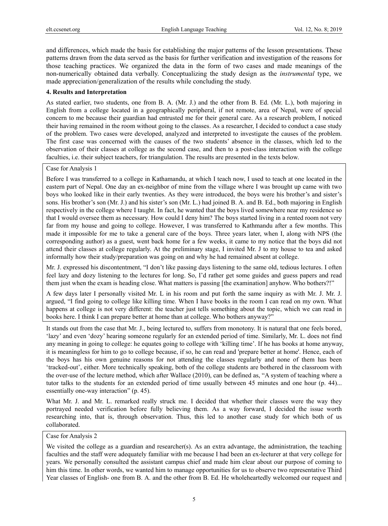and differences, which made the basis for establishing the major patterns of the lesson presentations. These patterns drawn from the data served as the basis for further verification and investigation of the reasons for those teaching practices. We organized the data in the form of two cases and made meanings of the non-numerically obtained data verbally. Conceptualizing the study design as the *instrumental* type, we made appreciation/generalization of the results while concluding the study.

## **4. Results and Interpretation**

As stated earlier, two students, one from B. A. (Mr. J.) and the other from B. Ed. (Mr. L.), both majoring in English from a college located in a geographically peripheral, if not remote, area of Nepal, were of special concern to me because their guardian had entrusted me for their general care. As a research problem, I noticed their having remained in the room without going to the classes. As a researcher, I decided to conduct a case study of the problem. Two cases were developed, analyzed and interpreted to investigate the causes of the problem. The first case was concerned with the causes of the two students' absence in the classes, which led to the observation of their classes at college as the second case, and then to a post-class interaction with the college faculties, i.e. their subject teachers, for triangulation. The results are presented in the texts below.

Case for Analysis 1

Before I was transferred to a college in Kathamandu, at which I teach now, I used to teach at one located in the eastern part of Nepal. One day an ex-neighbor of mine from the village where I was brought up came with two boys who looked like in their early twenties. As they were introduced, the boys were his brother's and sister's sons. His brother's son (Mr. J.) and his sister's son (Mr. L.) had joined B. A. and B. Ed., both majoring in English respectively in the college where I taught. In fact, he wanted that the boys lived somewhere near my residence so that I would oversee them as necessary. How could I deny him? The boys started living in a rented room not very far from my house and going to college. However, I was transferred to Kathmandu after a few months. This made it impossible for me to take a general care of the boys. Three years later, when I, along with NPS (the corresponding author) as a guest, went back home for a few weeks, it came to my notice that the boys did not attend their classes at college regularly. At the preliminary stage, I invited Mr. J to my house to tea and asked informally how their study/preparation was going on and why he had remained absent at college.

Mr. J. expressed his discontentment, "I don't like passing days listening to the same old, tedious lectures. I often feel lazy and dozy listening to the lectures for long. So, I'd rather get some guides and guess papers and read them just when the exam is heading close. What matters is passing [the examination] anyhow. Who bothers?!"

A few days later I personally visited Mr. L in his room and put forth the same inquiry as with Mr. J. Mr. J. argued, "I find going to college like killing time. When I have books in the room I can read on my own. What happens at college is not very different: the teacher just tells something about the topic, which we can read in books here. I think I can prepare better at home than at college. Who bothers anyway?"

It stands out from the case that Mr. J., being lectured to, suffers from monotony. It is natural that one feels bored, 'lazy' and even 'dozy' hearing someone regularly for an extended period of time. Similarly, Mr. L. does not find any meaning in going to college: he equates going to college with 'killing time'. If he has books at home anyway, it is meaningless for him to go to college because, if so, he can read and 'prepare better at home'. Hence, each of the boys has his own genuine reasons for not attending the classes regularly and none of them has been 'tracked-out', either. More technically speaking, both of the college students are bothered in the classroom with the over-use of the lecture method, which after Wallace (2010), can be defined as, "A system of teaching where a tutor talks to the students for an extended period of time usually between 45 minutes and one hour (p. 44)... essentially one-way interaction" (p. 45).

What Mr. J. and Mr. L. remarked really struck me. I decided that whether their classes were the way they portrayed needed verification before fully believing them. As a way forward, I decided the issue worth researching into, that is, through observation. Thus, this led to another case study for which both of us collaborated.

We visited the college as a guardian and researcher(s). As an extra advantage, the administration, the teaching faculties and the staff were adequately familiar with me because I had been an ex-lecturer at that very college for years. We personally consulted the assistant campus chief and made him clear about our purpose of coming to him this time. In other words, we wanted him to manage opportunities for us to observe two representative Third Year classes of English- one from B. A. and the other from B. Ed. He wholeheartedly welcomed our request and

Case for Analysis 2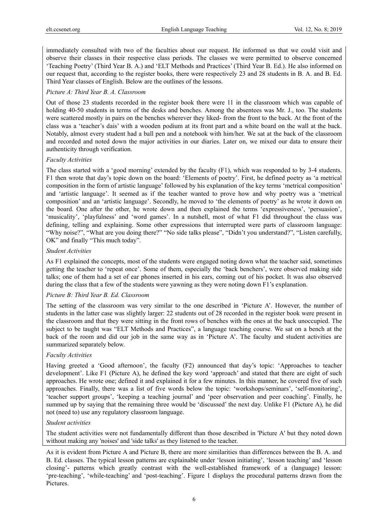immediately consulted with two of the faculties about our request. He informed us that we could visit and observe their classes in their respective class periods. The classes we were permitted to observe concerned 'Teaching Poetry' (Third Year B. A.) and 'ELT Methods and Practices' (Third Year B. Ed.). He also informed on our request that, according to the register books, there were respectively 23 and 28 students in B. A. and B. Ed. Third Year classes of English. Below are the outlines of the lessons.

## *Picture A: Third Year B. A. Classroom*

Out of those 23 students recorded in the register book there were 11 in the classroom which was capable of holding 40-50 students in terms of the desks and benches. Among the absentees was Mr. J., too. The students were scattered mostly in pairs on the benches wherever they liked- from the front to the back. At the front of the class was a 'teacher's dais' with a wooden podium at its front part and a white board on the wall at the back. Notably, almost every student had a ball pen and a notebook with him/her. We sat at the back of the classroom and recorded and noted down the major activities in our diaries. Later on, we mixed our data to ensure their authenticity through verification.

## *Faculty Activities*

The class started with a 'good morning' extended by the faculty (F1), which was responded to by 3-4 students. F1 then wrote that day's topic down on the board: 'Elements of poetry'. First, he defined poetry as 'a metrical composition in the form of artistic language' followed by his explanation of the key terms 'metrical composition' and 'artistic language'. It seemed as if the teacher wanted to prove how and why poetry was a 'metrical composition' and an 'artistic language'. Secondly, he moved to 'the elements of poetry' as he wrote it down on the board. One after the other, he wrote down and then explained the terms 'expressiveness', 'persuasion', 'musicality', 'playfulness' and 'word games'. In a nutshell, most of what F1 did throughout the class was defining, telling and explaining. Some other expressions that interrupted were parts of classroom language: "Why noise?", "What are you doing there?" "No side talks please", "Didn't you understand?", "Listen carefully, OK" and finally "This much today".

## *Student Activities*

As F1 explained the concepts, most of the students were engaged noting down what the teacher said, sometimes getting the teacher to 'repeat once'. Some of them, especially the 'back benchers', were observed making side talks; one of them had a set of ear phones inserted in his ears, coming out of his pocket. It was also observed during the class that a few of the students were yawning as they were noting down F1's explanation.

## *Picture B: Third Year B. Ed. Classroom*

The setting of the classroom was very similar to the one described in 'Picture A'. However, the number of students in the latter case was slightly larger: 22 students out of 28 recorded in the register book were present in the classroom and that they were sitting in the front rows of benches with the ones at the back unoccupied. The subject to be taught was "ELT Methods and Practices", a language teaching course. We sat on a bench at the back of the room and did our job in the same way as in 'Picture A'. The faculty and student activities are summarized separately below.

## *Faculty Activities*

Having greeted a 'Good afternoon', the faculty (F2) announced that day's topic: 'Approaches to teacher development'. Like F1 (Picture A), he defined the key word 'approach' and stated that there are eight of such approaches. He wrote one; defined it and explained it for a few minutes. In this manner, he covered five of such approaches. Finally, there was a list of five words below the topic: 'workshops/seminars', 'self-monitoring', 'teacher support groups', 'keeping a teaching journal' and 'peer observation and peer coaching'. Finally, he summed up by saying that the remaining three would be 'discussed' the next day. Unlike F1 (Picture A), he did not (need to) use any regulatory classroom language.

## *Student activities*

The student activities were not fundamentally different than those described in 'Picture A' but they noted down without making any 'noises' and 'side talks' as they listened to the teacher.

As it is evident from Picture A and Picture B, there are more similarities than differences between the B. A. and B. Ed. classes. The typical lesson patterns are explainable under 'lesson initiating', 'lesson teaching' and 'lesson closing'- patterns which greatly contrast with the well-established framework of a (language) lesson: 'pre-teaching', 'while-teaching' and 'post-teaching'. Figure 1 displays the procedural patterns drawn from the Pictures.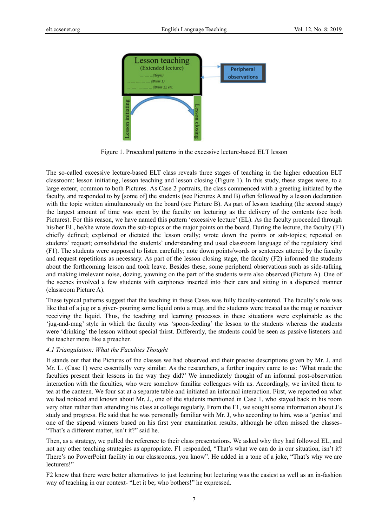

Figure 1*.* Procedural patterns in the excessive lecture-based ELT lesson

The so-called excessive lecture-based ELT class reveals three stages of teaching in the higher education ELT classroom: lesson initiating, lesson teaching and lesson closing (Figure 1). In this study, these stages were, to a large extent, common to both Pictures. As Case 2 portraits, the class commenced with a greeting initiated by the faculty, and responded to by [some of] the students (see Pictures A and B) often followed by a lesson declaration with the topic written simultaneously on the board (see Picture B). As part of lesson teaching (the second stage) the largest amount of time was spent by the faculty on lecturing as the delivery of the contents (see both Pictures). For this reason, we have named this pattern 'excessive lecture' (EL). As the faculty proceeded through his/her EL, he/she wrote down the sub-topics or the major points on the board. During the lecture, the faculty (F1) chiefly defined; explained or dictated the lesson orally; wrote down the points or sub-topics; repeated on students' request; consolidated the students' understanding and used classroom language of the regulatory kind (F1). The students were supposed to listen carefully; note down points/words or sentences uttered by the faculty and request repetitions as necessary. As part of the lesson closing stage, the faculty (F2) informed the students about the forthcoming lesson and took leave. Besides these, some peripheral observations such as side-talking and making irrelevant noise, dozing, yawning on the part of the students were also observed (Picture A). One of the scenes involved a few students with earphones inserted into their ears and sitting in a dispersed manner (classroom Picture A).

These typical patterns suggest that the teaching in these Cases was fully faculty-centered. The faculty's role was like that of a jug or a giver- pouring some liquid onto a mug, and the students were treated as the mug or receiver receiving the liquid. Thus, the teaching and learning processes in these situations were explainable as the 'jug-and-mug' style in which the faculty was 'spoon-feeding' the lesson to the students whereas the students were 'drinking' the lesson without special thirst. Differently, the students could be seen as passive listeners and the teacher more like a preacher.

#### *4.1 Triangulation: What the Faculties Thought*

It stands out that the Pictures of the classes we had observed and their precise descriptions given by Mr. J. and Mr. L. (Case 1) were essentially very similar. As the researchers, a further inquiry came to us: 'What made the faculties present their lessons in the way they did?' We immediately thought of an informal post-observation interaction with the faculties, who were somehow familiar colleagues with us. Accordingly, we invited them to tea at the canteen. We four sat at a separate table and initiated an informal interaction. First, we reported on what we had noticed and known about Mr. J., one of the students mentioned in Case 1, who stayed back in his room very often rather than attending his class at college regularly. From the F1, we sought some information about J's study and progress. He said that he was personally familiar with Mr. J, who according to him, was a 'genius' and one of the stipend winners based on his first year examination results, although he often missed the classes- "That's a different matter, isn't it?" said he.

Then, as a strategy, we pulled the reference to their class presentations. We asked why they had followed EL, and not any other teaching strategies as appropriate. F1 responded, "That's what we can do in our situation, isn't it? There's no PowerPoint facility in our classrooms, you know". He added in a tone of a joke, "That's why we are lecturers!"

F2 knew that there were better alternatives to just lecturing but lecturing was the easiest as well as an in-fashion way of teaching in our context- "Let it be; who bothers!" he expressed.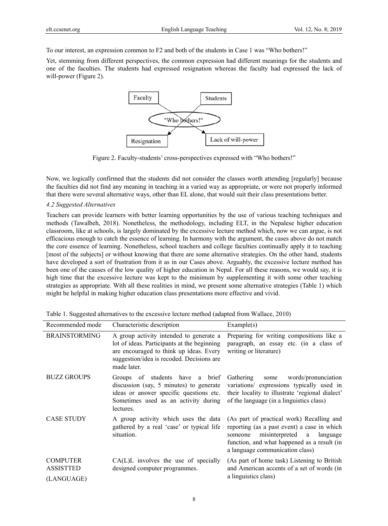To our interest, an expression common to F2 and both of the students in Case 1 was "Who bothers!"

Yet, stemming from different perspectives, the common expression had different meanings for the students and one of the faculties. The students had expressed resignation whereas the faculty had expressed the lack of will-power (Figure 2).



Figure 2. Faculty-students' cross-perspectives expressed with "Who bothers!"

Now, we logically confirmed that the students did not consider the classes worth attending [regularly] because the faculties did not find any meaning in teaching in a varied way as appropriate, or were not properly informed that there were several alternative ways, other than EL alone, that would suit their class presentations better.

## *4.2 Suggested Alternatives*

Teachers can provide learners with better learning opportunities by the use of various teaching techniques and methods (Tawalbeh, 2018). Nonetheless, the methodology, including ELT, in the Nepalese higher education classroom, like at schools, is largely dominated by the excessive lecture method which, now we can argue, is not efficacious enough to catch the essence of learning. In harmony with the argument, the cases above do not match the core essence of learning. Nonetheless, school teachers and college faculties continually apply it to teaching [most of the subjects] or without knowing that there are some alternative strategies. On the other hand, students have developed a sort of frustration from it as in our Cases above. Arguably, the excessive lecture method has been one of the causes of the low quality of higher education in Nepal. For all these reasons, we would say, it is high time that the excessive lecture was kept to the minimum by supplementing it with some other teaching strategies as appropriate. With all these realities in mind, we present some alternative strategies (Table 1) which might be helpful in making higher education class presentations more effective and vivid.

| Recommended mode                                  | Characteristic description                                                                                                                                                                    | Example(s)                                                                                                                                                                                                            |
|---------------------------------------------------|-----------------------------------------------------------------------------------------------------------------------------------------------------------------------------------------------|-----------------------------------------------------------------------------------------------------------------------------------------------------------------------------------------------------------------------|
| <b>BRAINSTORMING</b>                              | A group activity intended to generate a<br>lot of ideas. Participants at the beginning<br>are encouraged to think up ideas. Every<br>suggestion/idea is recoded. Decisions are<br>made later. | Preparing for writing compositions like a<br>paragraph, an essay etc. (in a class of<br>writing or literature)                                                                                                        |
| <b>BUZZ GROUPS</b>                                | Groups of students have a brief<br>discussion (say, 5 minutes) to generate<br>ideas or answer specific questions etc.<br>Sometimes used as an activity during<br>lectures.                    | words/pronunciation<br>Gathering<br>some<br>variations/ expressions typically used in<br>their locality to illustrate 'regional dialect'<br>of the language (in a linguistics class)                                  |
| <b>CASE STUDY</b>                                 | A group activity which uses the data<br>gathered by a real 'case' or typical life<br>situation.                                                                                               | (As part of practical work) Recalling and<br>reporting (as a past event) a case in which<br>misinterpreted a<br>language<br>someone<br>function, and what happened as a result (in<br>a language communication class) |
| <b>COMPUTER</b><br><b>ASSISTTED</b><br>(LANGUAGE) | $CA(L)L$ involves the use of specially<br>designed computer programmes.                                                                                                                       | (As part of home task) Listening to British<br>and American accents of a set of words (in<br>a linguistics class)                                                                                                     |

Table 1. Suggested alternatives to the excessive lecture method (adapted from Wallace, 2010)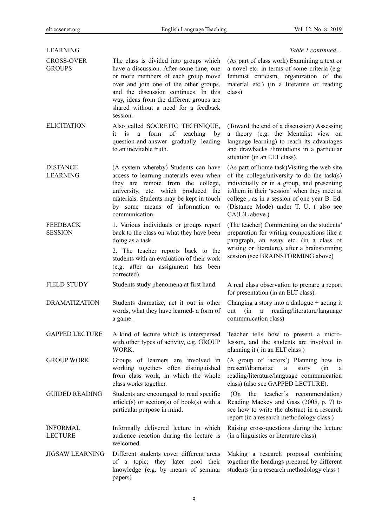| <b>LEARNING</b>                    |                                                                                                                                                                                                                                                                                                            | Table 1 continued                                                                                                                                                                                                                                                                                    |
|------------------------------------|------------------------------------------------------------------------------------------------------------------------------------------------------------------------------------------------------------------------------------------------------------------------------------------------------------|------------------------------------------------------------------------------------------------------------------------------------------------------------------------------------------------------------------------------------------------------------------------------------------------------|
| <b>CROSS-OVER</b><br><b>GROUPS</b> | The class is divided into groups which<br>have a discussion. After some time, one<br>or more members of each group move<br>over and join one of the other groups,<br>and the discussion continues. In this<br>way, ideas from the different groups are<br>shared without a need for a feedback<br>session. | (As part of class work) Examining a text or<br>a novel etc. in terms of some criteria (e.g.<br>feminist criticism, organization of the<br>material etc.) (in a literature or reading<br>class)                                                                                                       |
| <b>ELICITATION</b>                 | Also called SOCRETIC TECHNIQUE,<br>form<br>of<br>teaching<br>it<br>is<br>a<br>by<br>question-and-answer gradually leading<br>to an inevitable truth.                                                                                                                                                       | (Toward the end of a discussion) Assessing<br>a theory (e.g. the Mentalist view on<br>language learning) to reach its advantages<br>and drawbacks /limitations in a particular<br>situation (in an ELT class).                                                                                       |
| DISTANCE<br>LEARNING               | (A system whereby) Students can have<br>access to learning materials even when<br>they are remote from the college,<br>university, etc. which produced the<br>materials. Students may be kept in touch<br>by some means of information or<br>communication.                                                | (As part of home task) Visiting the web site<br>of the college/university to do the task(s)<br>individually or in a group, and presenting<br>it/them in their 'session' when they meet at<br>college, as in a session of one year B. Ed.<br>(Distance Mode) under T. U. (also see<br>$CA(L)L$ above) |
| <b>FEEDBACK</b><br><b>SESSION</b>  | 1. Various individuals or groups report<br>back to the class on what they have been<br>doing as a task.<br>2. The teacher reports back to the<br>students with an evaluation of their work<br>(e.g. after an assignment has been<br>corrected)                                                             | (The teacher) Commenting on the students'<br>preparation for writing compositions like a<br>paragraph, an essay etc. (in a class of<br>writing or literature), after a brainstorming<br>session (see BRAINSTORMING above)                                                                            |
| FIELD STUDY                        | Students study phenomena at first hand.                                                                                                                                                                                                                                                                    | A real class observation to prepare a report<br>for presentation (in an ELT class).                                                                                                                                                                                                                  |
| <b>DRAMATIZATION</b>               | Students dramatize, act it out in other<br>words, what they have learned- a form of<br>a game.                                                                                                                                                                                                             | Changing a story into a dialogue $+$ acting it<br>reading/literature/language<br>(in<br>a<br>out<br>communication class)                                                                                                                                                                             |
| <b>GAPPED LECTURE</b>              | A kind of lecture which is interspersed<br>with other types of activity, e.g. GROUP<br>WORK.                                                                                                                                                                                                               | Teacher tells how to present a micro-<br>lesson, and the students are involved in<br>planning it (in an ELT class)                                                                                                                                                                                   |
| <b>GROUP WORK</b>                  | Groups of learners are involved in<br>working together- often distinguished<br>from class work, in which the whole<br>class works together.                                                                                                                                                                | (A group of 'actors') Planning how to<br>present/dramatize<br>(in<br>a<br>story<br>a<br>reading/literature/language communication<br>class) (also see GAPPED LECTURE).                                                                                                                               |
| <b>GUIDED READING</b>              | Students are encouraged to read specific<br>$article(s)$ or $section(s)$ of book(s) with a<br>particular purpose in mind.                                                                                                                                                                                  | the<br>teacher's recommendation)<br>(On<br>Reading Mackey and Gass (2005, p. 7) to<br>see how to write the abstract in a research<br>report (in a research methodology class)                                                                                                                        |
| <b>INFORMAL</b><br>LECTURE         | Informally delivered lecture in which<br>audience reaction during the lecture is<br>welcomed.                                                                                                                                                                                                              | Raising cross-questions during the lecture<br>(in a linguistics or literature class)                                                                                                                                                                                                                 |
| <b>JIGSAW LEARNING</b>             | Different students cover different areas<br>of a topic; they later pool their<br>knowledge (e.g. by means of seminar<br>papers)                                                                                                                                                                            | Making a research proposal combining<br>together the headings prepared by different<br>students (in a research methodology class)                                                                                                                                                                    |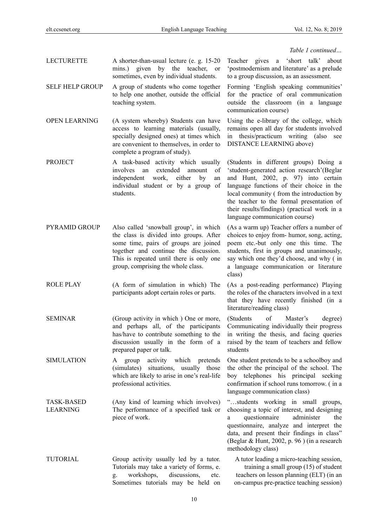## *Table 1 continued…*

- LECTURETTE A shorter-than-usual lecture (e. g. 15-20 mins.) given by the teacher, or sometimes, even by individual students.
- SELF HELP GROUP A group of students who come together to help one another, outside the official teaching system.

OPEN LEARNING (A system whereby) Students can have access to learning materials (usually, specially designed ones) at times which are convenient to themselves, in order to complete a program of study).

- PROJECT A task-based activity which usually involves an extended amount of independent work, either by an individual student or by a group of students.
- PYRAMID GROUP Also called 'snowball group', in which the class is divided into groups. After some time, pairs of groups are joined together and continue the discussion. This is repeated until there is only one group, comprising the whole class.
- ROLE PLAY (A form of simulation in which) The participants adopt certain roles or parts.
- SEMINAR (Group activity in which ) One or more, and perhaps all, of the participants has/have to contribute something to the discussion usually in the form of a prepared paper or talk.
- SIMULATION A group activity which pretends (simulates) situations, usually those which are likely to arise in one's real-life professional activities.
- TASK-BASED LEARNING (Any kind of learning which involves) The performance of a specified task or piece of work.
- TUTORIAL Group activity usually led by a tutor. Tutorials may take a variety of forms, e. g. workshops, discussions, etc. Sometimes tutorials may be held on

Teacher gives a 'short talk' about 'postmodernism and literature' as a prelude to a group discussion, as an assessment.

Forming 'English speaking communities' for the practice of oral communication outside the classroom (in a language communication course)

Using the e-library of the college, which remains open all day for students involved in thesis/practicum writing (also see DISTANCE LEARNING above)

(Students in different groups) Doing a 'student-generated action research'(Beglar and Hunt, 2002, p. 97) into certain language functions of their choice in the local community ( from the introduction by the teacher to the formal presentation of their results/findings) (practical work in a language communication course)

(As a warm up) Teacher offers a number of choices to enjoy from- humor, song, acting, poem etc.-but only one this time. The students, first in groups and unanimously, say which one they'd choose, and why ( in a language communication or literature class)

(As a post-reading performance) Playing the roles of the characters involved in a text that they have recently finished (in a literature/reading class)

(Students of Master's degree) Communicating individually their progress in writing the thesis, and facing queries raised by the team of teachers and fellow students

One student pretends to be a schoolboy and the other the principal of the school. The boy telephones his principal seeking confirmation if school runs tomorrow. ( in a language communication class)

"…students working in small groups, choosing a topic of interest, and designing a questionnaire administer the questionnaire, analyze and interpret the data, and present their findings in class" (Beglar & Hunt, 2002, p. 96 ) (in a research methodology class)

A tutor leading a micro-teaching session, training a small group (15) of student teachers on lesson planning (ELT) (in an on-campus pre-practice teaching session)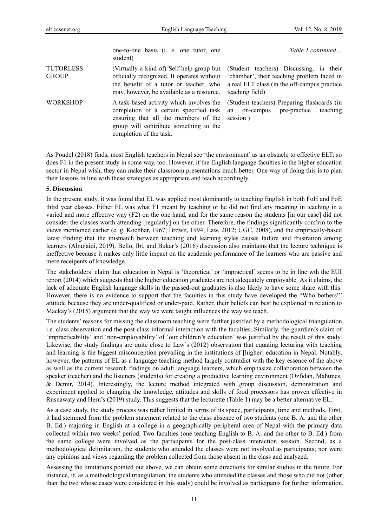|                                  | one-to-one basis ( <i>i. e. one tutor, one</i><br>student)                                                                                                                                               | Table 1 continued                                                                                                                                        |
|----------------------------------|----------------------------------------------------------------------------------------------------------------------------------------------------------------------------------------------------------|----------------------------------------------------------------------------------------------------------------------------------------------------------|
| <b>TUTORLESS</b><br><b>GROUP</b> | (Virtually a kind of) Self-help group but<br>officially recognized. It operates without<br>the benefit of a tutor or teacher, who<br>may, however, be available as a resource.                           | (Student teachers) Discussing, in their<br>'chamber', their teaching problem faced in<br>a real ELT class (in the off-campus practice<br>teaching field) |
| <b>WORKSHOP</b>                  | A task-based activity which involves the<br>completion of a certain specified task<br>ensuring that all the members of the session)<br>group will contribute something to the<br>completion of the task. | (Student teachers) Preparing flashcards (in<br>teaching<br>on-campus pre-practice<br>an                                                                  |

As Poudel (2018) finds, most English teachers in Nepal see 'the environment' as an obstacle to effective ELT; so does F1 in the present study in some way, too. However, if the English language faculties in the higher education sector in Nepal wish, they can make their classroom presentations much better. One way of doing this is to plan their lessons in line with these strategies as appropriate and teach accordingly.

#### **5. Discussion**

In the present study, it was found that EL was applied most dominantly to teaching English in both FoH and FoE third year classes. Either EL was what F1 meant by teaching or he did not find any meaning in teaching in a varied and more effective way (F2) on the one hand, and for the same reason the students [in our case] did not consider the classes worth attending [regularly] on the other. Therefore, the findings significantly confirm to the views mentioned earlier (e. g. Kochhar, 1967; Brown, 1994; Law, 2012; UGC, 2008), and the empirically-based latest finding that the mismatch between teaching and learning styles causes failure and frustration among learners (Alnujaidi, 2019). Bello, Ibi, and Bukar's (2016) discussion also maintains that the lecture technique is ineffective because it makes only little impact on the academic performance of the learners who are passive and mere receipents of knowledge.

The stakeholders' claim that education in Nepal is 'theoretical' or 'impractical' seems to be in line wth the EUI report (2014) which suggests that the higher education graduates are not adequately employable. As it claims, the lack of adequate English langauge skills in the passed-out graduates is also likely to have some share with this. However, there is no evidence to support that the faculties in this study have developed the "Who bothers!" attitude because they are under-qualifiesd or under-paid. Rather, their beliefs can best be explained in relation to Mackay's (2015) argument that the way we were taught influences the way we teach.

The students' reasons for missing the classroom teaching were further justified by a methodological triangulation, i.e. class observation and the post-class informal interaction with the faculties. Similarly, the guardian's claim of 'impracticability' and 'non-employability' of 'our children's education' was justified by the result of this study. Likewise, the study findings are quite close to Law's (2012) observation that equating lecturing with teaching and learning is the biggest misconception prevailing in the institutions of [higher] education in Nepal. Notably, however, the patterns of EL as a language teaching method largely contradict with the key essence of the above as well as the current research findings on adult language learners, which emphasize collaboration between the speaker (teacher) and the listeners (students) for creating a productive learning environment (Ozfidan, Mahtmes, & Demir, 2014). Interestingly, the lecture method integrated with group discussion, demonstration and experiment applied to changing the knowledge, attitudes and skills of food processors has proven effective in Rusnawaty and Heru's (2019) study. This suggests that the lecturette (Table 1) may be a better alternative EL.

As a case study, the study process was rather limited in terms of its space, participants, time and methods. First, it had stemmed from the problem statement related to the class absence of two students (one B. A. and the other B. Ed.) majoring in English at a college in a geographically peripheral area of Nepal with the primary data collected within two weeks' period. Two faculties (one teaching English to B. A. and the other to B. Ed.) from the same college were involved as the participants for the post-class interaction session. Second, as a methodological delimitation, the students who attended the classes were not involved as participants; nor were any opinions and views regarding the problem collected from those absent in the class and analyzed.

Assessing the limitations pointed out above, we can obtain some directions for similar studies in the future. For instance, if, as a methodological triangulation, the students who attended the classes and those who did not (other than the two whose cases were considered in this study) could be involved as participants for further information.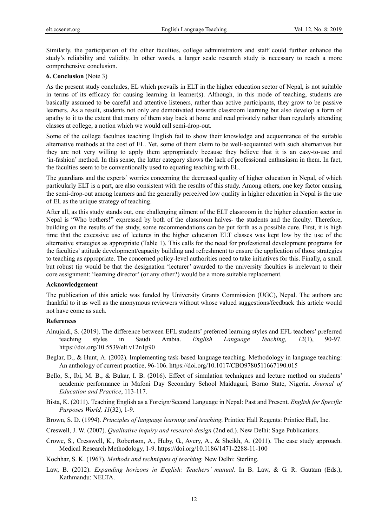Similarly, the participation of the other faculties, college administrators and staff could further enhance the study's reliability and validity. In other words, a larger scale research study is necessary to reach a more comprehensive conclusion.

## **6. Conclusion** (Note 3)

As the present study concludes, EL which prevails in ELT in the higher education sector of Nepal, is not suitable in terms of its efficacy for causing learning in learner(s). Although, in this mode of teaching, students are basically assumed to be careful and attentive listeners, rather than active participants, they grow to be passive learners. As a result, students not only are demotivated towards classroom learning but also develop a form of apathy to it to the extent that many of them stay back at home and read privately rather than regularly attending classes at college, a notion which we would call semi-drop-out.

Some of the college faculties teaching English fail to show their knowledge and acquaintance of the suitable alternative methods at the cost of EL. Yet, some of them claim to be well-acquainted with such alternatives but they are not very willing to apply them appropriately because they believe that it is an easy-to-use and 'in-fashion' method. In this sense, the latter category shows the lack of professional enthusiasm in them. In fact, the faculties seem to be conventionally used to equating teaching with EL.

The guardians and the experts' worries concerning the decreased quality of higher education in Nepal, of which particularly ELT is a part, are also consistent with the results of this study. Among others, one key factor causing the semi-drop-out among learners and the generally perceived low quality in higher education in Nepal is the use of EL as the unique strategy of teaching.

After all, as this study stands out, one challenging ailment of the ELT classroom in the higher education sector in Nepal is "Who bothers!" expressed by both of the classroom halves- the students and the faculty. Therefore, building on the results of the study, some recommendations can be put forth as a possible cure. First, it is high time that the excessive use of lectures in the higher education ELT classes was kept low by the use of the alternative strategies as appropriate (Table 1). This calls for the need for professional development programs for the faculties' attitude development/capacity building and refreshment to ensure the application of those strategies to teaching as appropriate. The concerned policy-level authorities need to take initiatives for this. Finally, a small but robust tip would be that the designation 'lecturer' awarded to the university faculties is irrelevant to their core assignment: 'learning director' (or any other?) would be a more suitable replacement.

## **Acknowledgement**

The publication of this article was funded by University Grants Commission (UGC), Nepal. The authors are thankful to it as well as the anonymous reviewers without whose valued suggestions/feedback this article would not have come as such.

## **References**

- Alnujaidi, S. (2019). The difference between EFL students' preferred learning styles and EFL teachers' preferred teaching styles in Saudi Arabia. *English Language Teaching, 12*(1), 90-97. https://doi.org/10.5539/elt.v12n1p90
- Beglar, D., & Hunt, A. (2002). Implementing task-based language teaching. Methodology in language teaching: An anthology of current practice, 96-106. https://doi.org/10.1017/CBO9780511667190.015
- Bello, S., Ibi, M. B., & Bukar, I. B. (2016). Effect of simulation techniques and lecture method on students' academic performance in Mafoni Day Secondary School Maiduguri, Borno State, Nigeria. *Journal of Education and Practice*, 113-117.
- Bista, K. (2011). Teaching English as a Foreign/Second Language in Nepal: Past and Present. *English for Specific Purposes World, 11*(32), 1-9.
- Brown, S. D. (1994). *Principles of language learning and teaching*. Printice Hall Regents: Printice Hall, Inc.
- Creswell, J. W. (2007). *Qualitative inquiry and research design* (2nd ed.). New Delhi: Sage Publications.
- Crowe, S., Cresswell, K., Robertson, A., Huby, G., Avery, A., & Sheikh, A. (2011). The case study approach. Medical Research Methodology, 1-9. https://doi.org/10.1186/1471-2288-11-100

Kochhar, S. K. (1967). *Methods and techniques of teaching.* New Delhi: Sterling.

Law, B. (2012). *Expanding horizons in English: Teachers' manual.* In B. Law, & G. R. Gautam (Eds.), Kathmandu: NELTA.